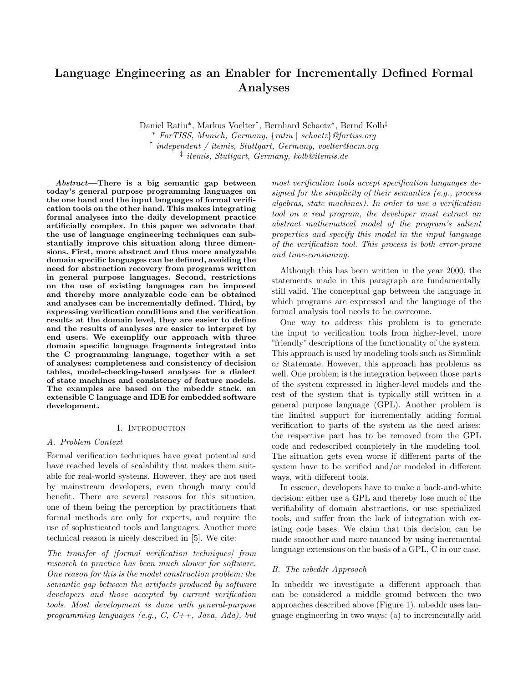# Language Engineering as an Enabler for Incrementally Defined Formal Analyses

Daniel Ratiu<sup>∗</sup> , Markus Voelter† , Bernhard Schaetz<sup>∗</sup> , Bernd Kolb‡ <sup>∗</sup> ForTISS, Munich, Germany, {ratiu | schaetz}@fortiss.org † independent / itemis, Stuttgart, Germany, voelter@acm.org  $\ddagger$  itemis, Stuttgart, Germany, kolb@itemis.de

Abstract—There is a big semantic gap between today's general purpose programming languages on the one hand and the input languages of formal verification tools on the other hand. This makes integrating formal analyses into the daily development practice artificially complex. In this paper we advocate that the use of language engineering techniques can substantially improve this situation along three dimensions. First, more abstract and thus more analyzable domain specific languages can be defined, avoiding the need for abstraction recovery from programs written in general purpose languages. Second, restrictions on the use of existing languages can be imposed and thereby more analyzable code can be obtained and analyses can be incrementally defined. Third, by expressing verification conditions and the verification results at the domain level, they are easier to define and the results of analyses are easier to interpret by end users. We exemplify our approach with three domain specific language fragments integrated into the C programming language, together with a set of analyses: completeness and consistency of decision tables, model-checking-based analyses for a dialect of state machines and consistency of feature models. The examples are based on the mbeddr stack, an extensible C language and IDE for embedded software development.

#### I. INTRODUCTION

#### A. Problem Context

Formal verification techniques have great potential and have reached levels of scalability that makes them suitable for real-world systems. However, they are not used by mainstream developers, even though many could benefit. There are several reasons for this situation, one of them being the perception by practitioners that formal methods are only for experts, and require the use of sophisticated tools and languages. Another more technical reason is nicely described in [5]. We cite:

The transfer of [formal verification techniques] from research to practice has been much slower for software. One reason for this is the model construction problem: the semantic gap between the artifacts produced by software developers and those accepted by current verification tools. Most development is done with general-purpose programming languages (e.g.,  $C, C++, Java, Ada$ ), but most verification tools accept specification languages designed for the simplicity of their semantics (e.g., process algebras, state machines). In order to use a verification tool on a real program, the developer must extract an abstract mathematical model of the program's salient properties and specify this model in the input language of the verification tool. This process is both error-prone and time-consuming.

Although this has been written in the year 2000, the statements made in this paragraph are fundamentally still valid. The conceptual gap between the language in which programs are expressed and the language of the formal analysis tool needs to be overcome.

One way to address this problem is to generate the input to verification tools from higher-level, more "friendly" descriptions of the functionality of the system. This approach is used by modeling tools such as Simulink or Statemate. However, this approach has problems as well. One problem is the integration between those parts of the system expressed in higher-level models and the rest of the system that is typically still written in a general purpose language (GPL). Another problem is the limited support for incrementally adding formal verification to parts of the system as the need arises: the respective part has to be removed from the GPL code and redescribed completely in the modeling tool. The situation gets even worse if different parts of the system have to be verified and/or modeled in different ways, with different tools.

In essence, developers have to make a back-and-white decision: either use a GPL and thereby lose much of the verifiability of domain abstractions, or use specialized tools, and suffer from the lack of integration with existing code bases. We claim that this decision can be made smoother and more nuanced by using incremental language extensions on the basis of a GPL, C in our case.

#### B. The mbeddr Approach

In mbeddr we investigate a different approach that can be considered a middle ground between the two approaches described above (Figure 1). mbeddr uses language engineering in two ways: (a) to incrementally add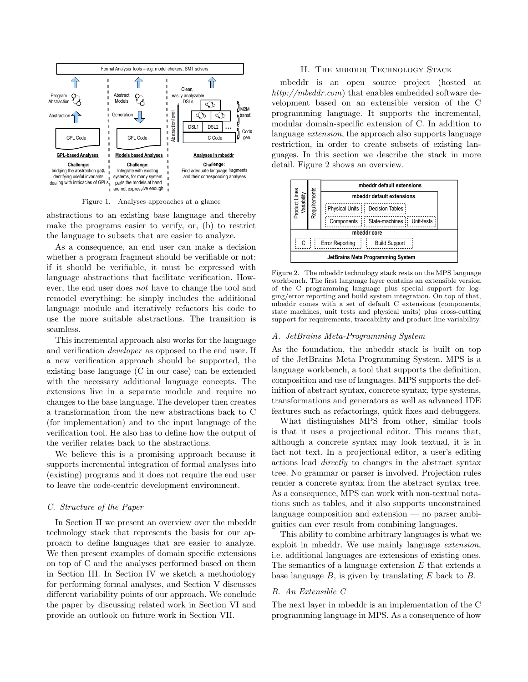

Figure 1. Analyses approaches at a glance

abstractions to an existing base language and thereby make the programs easier to verify, or, (b) to restrict the language to subsets that are easier to analyze.

As a consequence, an end user can make a decision whether a program fragment should be verifiable or not: if it should be verifiable, it must be expressed with language abstractions that facilitate verification. However, the end user does not have to change the tool and remodel everything: he simply includes the additional language module and iteratively refactors his code to use the more suitable abstractions. The transition is seamless.

This incremental approach also works for the language and verification developer as opposed to the end user. If a new verification approach should be supported, the existing base language (C in our case) can be extended with the necessary additional language concepts. The extensions live in a separate module and require no changes to the base language. The developer then creates a transformation from the new abstractions back to C (for implementation) and to the input language of the verification tool. He also has to define how the output of the verifier relates back to the abstractions.

We believe this is a promising approach because it supports incremental integration of formal analyses into (existing) programs and it does not require the end user to leave the code-centric development environment.

#### C. Structure of the Paper

In Section II we present an overview over the mbeddr technology stack that represents the basis for our approach to define languages that are easier to analyze. We then present examples of domain specific extensions on top of C and the analyses performed based on them in Section III. In Section IV we sketch a methodology for performing formal analyses, and Section V discusses different variability points of our approach. We conclude the paper by discussing related work in Section VI and provide an outlook on future work in Section VII.

## II. The mbeddr Technology Stack

mbeddr is an open source project (hosted at http://mbeddr.com) that enables embedded software development based on an extensible version of the C programming language. It supports the incremental, modular domain-specific extension of C. In addition to language *extension*, the approach also supports language restriction, in order to create subsets of existing languages. In this section we describe the stack in more detail. Figure 2 shows an overview.



Figure 2. The mbeddr technology stack rests on the MPS language workbench. The first language layer contains an extensible version of the C programming language plus special support for logging/error reporting and build system integration. On top of that, mbeddr comes with a set of default C extensions (components, state machines, unit tests and physical units) plus cross-cutting support for requirements, traceability and product line variability.

#### A. JetBrains Meta-Programming System

As the foundation, the mbeddr stack is built on top of the JetBrains Meta Programming System. MPS is a language workbench, a tool that supports the definition, composition and use of languages. MPS supports the definition of abstract syntax, concrete syntax, type systems, transformations and generators as well as advanced IDE features such as refactorings, quick fixes and debuggers.

What distinguishes MPS from other, similar tools is that it uses a projectional editor. This means that, although a concrete syntax may look textual, it is in fact not text. In a projectional editor, a user's editing actions lead directly to changes in the abstract syntax tree. No grammar or parser is involved. Projection rules render a concrete syntax from the abstract syntax tree. As a consequence, MPS can work with non-textual notations such as tables, and it also supports unconstrained language composition and extension — no parser ambiguities can ever result from combining languages.

This ability to combine arbitrary languages is what we exploit in mbeddr. We use mainly language extension, i.e. additional languages are extensions of existing ones. The semantics of a language extension E that extends a base language  $B$ , is given by translating  $E$  back to  $B$ .

## B. An Extensible C

The next layer in mbeddr is an implementation of the C programming language in MPS. As a consequence of how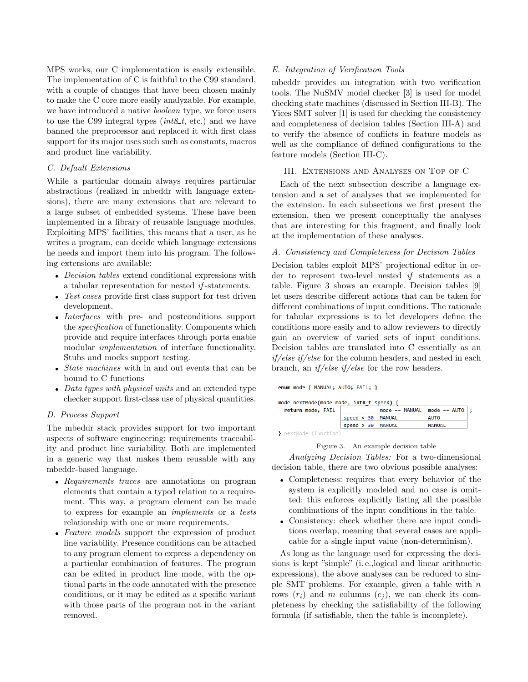MPS works, our C implementation is easily extensible. The implementation of C is faithful to the C99 standard, with a couple of changes that have been chosen mainly to make the C core more easily analyzable. For example, we have introduced a native *boolean* type, we force users to use the C99 integral types ( $int8_t$ , etc.) and we have banned the preprocessor and replaced it with first class support for its major uses such such as constants, macros and product line variability.

# C. Default Extensions

While a particular domain always requires particular abstractions (realized in mbeddr with language extensions), there are many extensions that are relevant to a large subset of embedded systems. These have been implemented in a library of reusable language modules. Exploiting MPS' facilities, this means that a user, as he writes a program, can decide which language extensions he needs and import them into his program. The following extensions are available:

- Decision tables extend conditional expressions with a tabular representation for nested if -statements.
- Test cases provide first class support for test driven development.
- Interfaces with pre- and postconditions support the specification of functionality. Components which provide and require interfaces through ports enable modular implementation of interface functionality. Stubs and mocks support testing.
- *State machines* with in and out events that can be bound to C functions
- Data types with physical units and an extended type checker support first-class use of physical quantities.

#### D. Process Support

The mbeddr stack provides support for two important aspects of software engineering: requirements traceability and product line variability. Both are implemented in a generic way that makes them reusable with any mbeddr-based language.

- Requirements traces are annotations on program elements that contain a typed relation to a requirement. This way, a program element can be made to express for example an implements or a tests relationship with one or more requirements.
- Feature models support the expression of product line variability. Presence conditions can be attached to any program element to express a dependency on a particular combination of features. The program can be edited in product line mode, with the optional parts in the code annotated with the presence conditions, or it may be edited as a specific variant with those parts of the program not in the variant removed.

## E. Integration of Verification Tools

mbeddr provides an integration with two verification tools. The NuSMV model checker [3] is used for model checking state machines (discussed in Section III-B). The Yices SMT solver [1] is used for checking the consistency and completeness of decision tables (Section III-A) and to verify the absence of conflicts in feature models as well as the compliance of defined configurations to the feature models (Section III-C).

### III. Extensions and Analyses on Top of C

Each of the next subsection describe a language extension and a set of analyses that we implemented for the extension. In each subsections we first present the extension, then we present conceptually the analyses that are interesting for this fragment, and finally look at the implementation of these analyses.

#### A. Consistency and Completeness for Decision Tables

Decision tables exploit MPS' projectional editor in order to represent two-level nested if statements as a table. Figure 3 shows an example. Decision tables [9] let users describe different actions that can be taken for different combinations of input conditions. The rationale for tabular expressions is to let developers define the conditions more easily and to allow reviewers to directly gain an overview of varied sets of input conditions. Decision tables are translated into C essentially as an if/else if/else for the column headers, and nested in each branch, an if/else if/else for the row headers.

enum mode { MANUAL; AUTO; FAIL; }

| mode nextMode(mode mode, int8 t speed) { |                          |                                           |               |  |
|------------------------------------------|--------------------------|-------------------------------------------|---------------|--|
| return mode, FAIL                        |                          | $mode == MANUAL \mid mode == AUT0 \mid ;$ |               |  |
|                                          | speed $\leq$ 30   MANUAL |                                           | <b>AUTO</b>   |  |
|                                          | speed $>$ 30   MANUAL    |                                           | <b>MANUAL</b> |  |
| $\lim_{t \to 0}$                         |                          |                                           |               |  |

#### Figure 3. An example decision table

Analyzing Decision Tables: For a two-dimensional decision table, there are two obvious possible analyses:

- Completeness: requires that every behavior of the system is explicitly modeled and no case is omitted: this enforces explicitly listing all the possible combinations of the input conditions in the table.
- Consistency: check whether there are input conditions overlap, meaning that several cases are applicable for a single input value (non-determinism).

As long as the language used for expressing the decisions is kept "simple" (i. e.,logical and linear arithmetic expressions), the above analyses can be reduced to simple SMT problems. For example, given a table with  $n$ rows  $(r_i)$  and m columns  $(c_i)$ , we can check its completeness by checking the satisfiability of the following formula (if satisfiable, then the table is incomplete).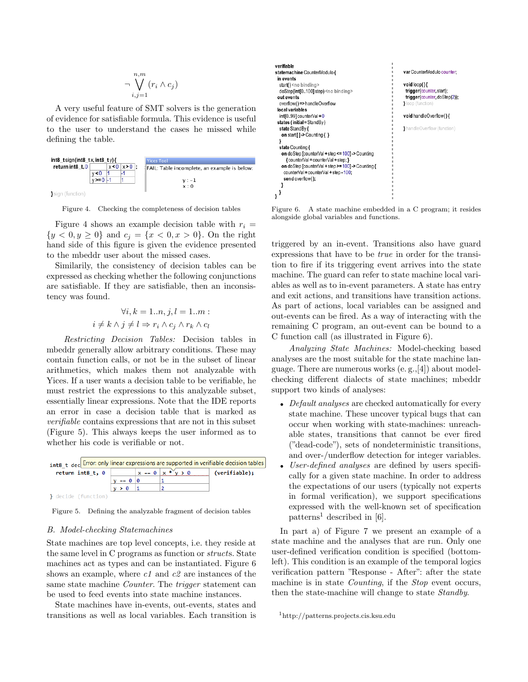$$
\neg \bigvee_{i,j=1}^{n,m} (r_i \wedge c_j)
$$

A very useful feature of SMT solvers is the generation of evidence for satisfiable formula. This evidence is useful to the user to understand the cases he missed while defining the table.



Figure 4. Checking the completeness of decision tables

Figure 4 shows an example decision table with  $r_i =$  ${y < 0, y \ge 0}$  and  $c_j = {x < 0, x > 0}$ . On the right hand side of this figure is given the evidence presented to the mbeddr user about the missed cases.

Similarily, the consistency of decision tables can be expressed as checking whether the following conjunctions are satisfiable. If they are satisfiable, then an inconsistency was found.

$$
\forall i, k = 1..n, j, l = 1..m : \n i \neq k \land j \neq l \Rightarrow r_i \land c_j \land r_k \land c_l
$$

Restricting Decision Tables: Decision tables in mbeddr generally allow arbitrary conditions. These may contain function calls, or not be in the subset of linear arithmetics, which makes them not analyzable with Yices. If a user wants a decision table to be verifiable, he must restrict the expressions to this analyzable subset, essentially linear expressions. Note that the IDE reports an error in case a decision table that is marked as verifiable contains expressions that are not in this subset (Figure 5). This always keeps the user informed as to whether his code is verifiable or not.



Figure 5. Defining the analyzable fragment of decision tables

#### B. Model-checking Statemachines

State machines are top level concepts, i.e. they reside at the same level in C programs as function or structs. State machines act as types and can be instantiated. Figure 6 shows an example, where  $c1$  and  $c2$  are instances of the same state machine Counter. The trigger statement can be used to feed events into state machine instances.

State machines have in-events, out-events, states and transitions as well as local variables. Each transition is



Figure 6. A state machine embedded in a C program; it resides alongside global variables and functions.

triggered by an in-event. Transitions also have guard expressions that have to be true in order for the transition to fire if its triggering event arrives into the state machine. The guard can refer to state machine local variables as well as to in-event parameters. A state has entry and exit actions, and transitions have transition actions. As part of actions, local variables can be assigned and out-events can be fired. As a way of interacting with the remaining C program, an out-event can be bound to a C function call (as illustrated in Figure 6).

Analyzing State Machines: Model-checking based analyses are the most suitable for the state machine language. There are numerous works (e. g.,[4]) about modelchecking different dialects of state machines; mbeddr support two kinds of analyses:

- Default analyses are checked automatically for every state machine. These uncover typical bugs that can occur when working with state-machines: unreachable states, transitions that cannot be ever fired ("dead-code"), sets of nondeterministic transitions, and over-/underflow detection for integer variables.
- User-defined analyses are defined by users specifically for a given state machine. In order to address the expectations of our users (typically not experts in formal verification), we support specifications expressed with the well-known set of specification patterns<sup>1</sup> described in  $[6]$ .

In part a) of Figure 7 we present an example of a state machine and the analyses that are run. Only one user-defined verification condition is specified (bottomleft). This condition is an example of the temporal logics verification pattern "Response - After": after the state machine is in state *Counting*, if the *Stop* event occurs, then the state-machine will change to state Standby.

```
1http://patterns.projects.cis.ksu.edu
```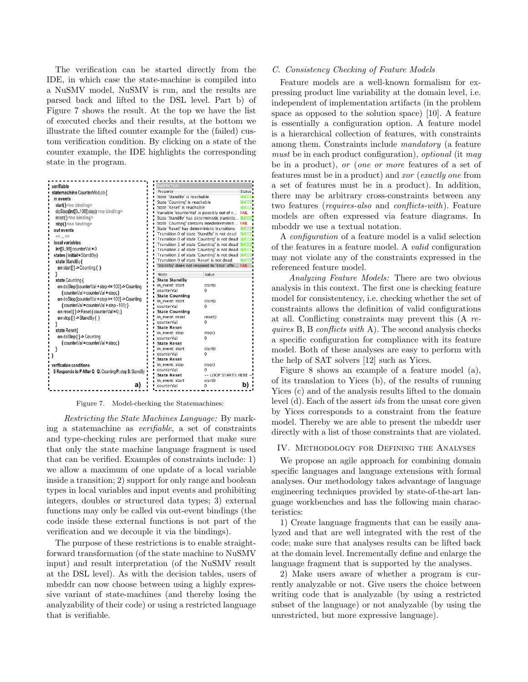The verification can be started directly from the IDE, in which case the state-machine is compiled into a NuSMV model, NuSMV is run, and the results are parsed back and lifted to the DSL level. Part b) of Figure 7 shows the result. At the top we have the list of executed checks and their results, at the bottom we illustrate the lifted counter example for the (failed) custom verification condition. By clicking on a state of the counter example, the IDE highlights the corresponding state in the program.

| verifiable                                             | NuSMV Tool                                                                                                 |                    |  |
|--------------------------------------------------------|------------------------------------------------------------------------------------------------------------|--------------------|--|
|                                                        | Property                                                                                                   | Status             |  |
| statemachine CounterModulo {                           | State 'StandBy' is reachable                                                                               | <b>SUCCE</b>       |  |
| in events                                              | State 'Counting' is reachable                                                                              | SUCCE <sup>®</sup> |  |
| start() <no binding=""></no>                           | State 'Reset' is reachable                                                                                 | SUCCE.             |  |
| doStep(int[0100] step) <no binding=""></no>            | Variable 'counterVal' is possibly out of r FAIL                                                            |                    |  |
| reset() <no binding=""></no>                           | State 'StandBy' has deterministic transitio SUCCE                                                          |                    |  |
| stop() <no binding=""></no>                            | State 'Counting' contains nondeterministi FAIL                                                             |                    |  |
| out events                                             | State 'Reset' has deterministic transitions<br>SUCCE <sup>1</sup>                                          |                    |  |
| << >                                                   | Transition 0 of state 'StandBy' is not dead SUCCE.                                                         |                    |  |
| local variables                                        | Transition 0 of state 'Counting' is not dead SUCCE.                                                        |                    |  |
| $int[0.99]$ counterVal = 0                             | Transition 1 of state 'Counting' is not dead SUCCE'                                                        |                    |  |
| states (initial=StandBy)                               | Transition 2 of state 'Counting' is not dead SUCCE.<br>Transition 3 of state 'Counting' is not dead SUCCE. |                    |  |
|                                                        | Transition 0 of state 'Reset' is not dead<br>SUCCE <sup>1</sup>                                            |                    |  |
| state StandBy {                                        | 'StandBy' does not respond to 'stop' afte FAIL                                                             |                    |  |
| on start [] -> Counting { }                            |                                                                                                            |                    |  |
|                                                        | Node<br>Value                                                                                              |                    |  |
| state Counting {                                       | <b>State StandBy</b>                                                                                       |                    |  |
| on doStep [counterVal + step <= 100] -> Counting       | in event: start<br>start()                                                                                 |                    |  |
| { counterVal = counterVal + step; }                    | counterVal<br>$\Omega$<br><b>State Counting</b>                                                            |                    |  |
| on doStep IcounterVal + step >= 1001-> Counting        | in event: start<br>start()                                                                                 |                    |  |
| { counterVal = counterVal + step - 100; }              | counterVal<br>o                                                                                            |                    |  |
| on reset [] -> Reset { counterVal = 0; }               | <b>State Counting</b>                                                                                      |                    |  |
| on stop [1->StandBy { }                                | in_event: reset<br>reset()                                                                                 |                    |  |
|                                                        | counterVal<br>$\Omega$                                                                                     |                    |  |
| state Reset{                                           | <b>State Reset</b>                                                                                         |                    |  |
|                                                        | in_event: stop<br>stop()                                                                                   |                    |  |
| on doStep [1-> Counting                                | counterVal<br>o                                                                                            |                    |  |
| { counterVal = counterVal + step; }                    | <b>State Reset</b>                                                                                         |                    |  |
|                                                        | in event: start<br>start()                                                                                 |                    |  |
|                                                        | counterVal<br>$\Omega$<br><b>State Reset</b>                                                               |                    |  |
|                                                        | in event: stop<br>stop()                                                                                   |                    |  |
| verification conditions                                | counterVal<br>o                                                                                            |                    |  |
| S Responds to P After Q Q: Counting P: stop S: StandBy | <b>State Reset</b><br>-- LOOP STARTS HERE                                                                  |                    |  |
|                                                        | in event: start<br>start()                                                                                 |                    |  |
| a)                                                     | counterVal<br>0                                                                                            | D)                 |  |
|                                                        |                                                                                                            |                    |  |

Figure 7. Model-checking the Statemachines:

Restricting the State Machines Language: By marking a statemachine as verifiable, a set of constraints and type-checking rules are performed that make sure that only the state machine language fragment is used that can be verified. Examples of constraints include: 1) we allow a maximum of one update of a local variable inside a transition; 2) support for only range and boolean types in local variables and input events and prohibiting integers, doubles or structured data types; 3) external functions may only be called via out-event bindings (the code inside these external functions is not part of the verification and we decouple it via the bindings).

The purpose of these restrictions is to enable straightforward transformation (of the state machine to NuSMV input) and result interpretation (of the NuSMV result at the DSL level). As with the decision tables, users of mbeddr can now choose between using a highly expressive variant of state-machines (and thereby losing the analyzability of their code) or using a restricted language that is verifiable.

#### C. Consistency Checking of Feature Models

Feature models are a well-known formalism for expressing product line variability at the domain level, i.e. independent of implementation artifacts (in the problem space as opposed to the solution space) [10]. A feature is essentially a configuration option. A feature model is a hierarchical collection of features, with constraints among them. Constraints include mandatory (a feature must be in each product configuration), *optional* (it may be in a product), or (one or more features of a set of features must be in a product) and xor (exactly one from a set of features must be in a product). In addition, there may be arbitrary cross-constraints between any two features (requires-also and conflicts-with). Feature models are often expressed via feature diagrams. In mbeddr we use a textual notation.

A configuration of a feature model is a valid selection of the features in a feature model. A valid configuration may not violate any of the constraints expressed in the referenced feature model.

Analyzing Feature Models: There are two obvious analysis in this context. The first one is checking feature model for consistentency, i.e. checking whether the set of constraints allows the definition of valid configurations at all. Conflicting constraints may prevent this (A requires B, B conflicts with A). The second analysis checks a specific configuration for compliance with its feature model. Both of these analyses are easy to perform with the help of SAT solvers [12] such as Yices.

Figure 8 shows an example of a feature model (a), of its translation to Yices (b), of the results of running Yices (c) and of the analysis results lifted to the domain level (d). Each of the assert ids from the unsat core given by Yices corresponds to a constraint from the feature model. Thereby we are able to present the mbeddr user directly with a list of those constraints that are violated.

#### IV. Methodology for Defining the Analyses

We propose an agile approach for combining domain specific languages and language extensions with formal analyses. Our methodology takes advantage of language engineering techniques provided by state-of-the-art language workbenches and has the following main characteristics:

1) Create language fragments that can be easily analyzed and that are well integrated with the rest of the code; make sure that analyses results can be lifted back at the domain level. Incrementally define and enlarge the language fragment that is supported by the analyses.

2) Make users aware of whether a program is currently analyzable or not. Give users the choice between writing code that is analyzable (by using a restricted subset of the language) or not analyzable (by using the unrestricted, but more expressive language).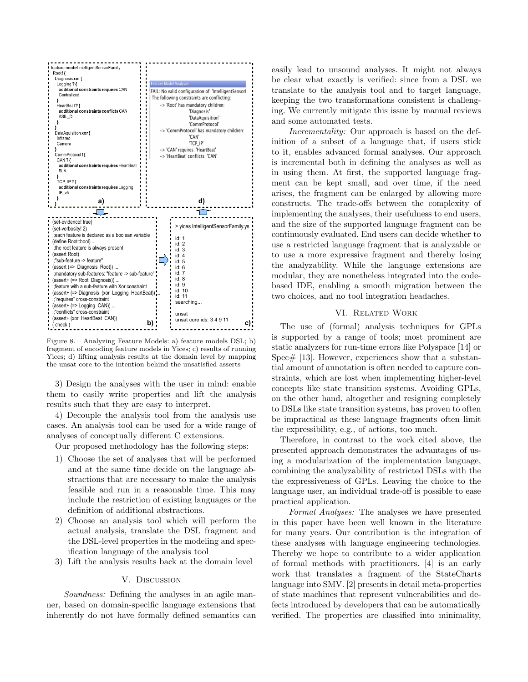

Figure 8. Analyzing Feature Models: a) feature models DSL; b) fragment of encoding feature models in Yices; c) results of running Yices; d) lifting analysis results at the domain level by mapping the unsat core to the intention behind the unsatisfied asserts

3) Design the analyses with the user in mind: enable them to easily write properties and lift the analysis results such that they are easy to interpret.

4) Decouple the analysis tool from the analysis use cases. An analysis tool can be used for a wide range of analyses of conceptually different C extensions.

Our proposed methodology has the following steps:

- 1) Choose the set of analyses that will be performed and at the same time decide on the language abstractions that are necessary to make the analysis feasible and run in a reasonable time. This may include the restriction of existing languages or the definition of additional abstractions.
- 2) Choose an analysis tool which will perform the actual analysis, translate the DSL fragment and the DSL-level properties in the modeling and specification language of the analysis tool
- 3) Lift the analysis results back at the domain level

#### V. Discussion

Soundness: Defining the analyses in an agile manner, based on domain-specific language extensions that inherently do not have formally defined semantics can

easily lead to unsound analyses. It might not always be clear what exactly is verified: since from a DSL we translate to the analysis tool and to target language, keeping the two transformations consistent is challenging. We currently mitigate this issue by manual reviews and some automated tests.

Incrementality: Our approach is based on the definition of a subset of a language that, if users stick to it, enables advanced formal analyses. Our approach is incremental both in defining the analyses as well as in using them. At first, the supported language fragment can be kept small, and over time, if the need arises, the fragment can be enlarged by allowing more constructs. The trade-offs between the complexity of implementing the analyses, their usefulness to end users, and the size of the supported language fragment can be continuously evaluated. End users can decide whether to use a restricted language fragment that is analyzable or to use a more expressive fragment and thereby losing the analyzability. While the language extensions are modular, they are nonetheless integrated into the codebased IDE, enabling a smooth migration between the two choices, and no tool integration headaches.

#### VI. Related Work

The use of (formal) analysis techniques for GPLs is supported by a range of tools; most prominent are static analyzers for run-time errors like Polyspace [14] or  $Spec \# [13]$ . However, experiences show that a substantial amount of annotation is often needed to capture constraints, which are lost when implementing higher-level concepts like state transition systems. Avoiding GPLs, on the other hand, altogether and resigning completely to DSLs like state transition systems, has proven to often be impractical as these language fragments often limit the expressibility, e.g., of actions, too much.

Therefore, in contrast to the work cited above, the presented approach demonstrates the advantages of using a modularization of the implementation language, combining the analyzability of restricted DSLs with the the expressiveness of GPLs. Leaving the choice to the language user, an individual trade-off is possible to ease practical application.

Formal Analyses: The analyses we have presented in this paper have been well known in the literature for many years. Our contribution is the integration of these analyses with language engineering technologies. Thereby we hope to contribute to a wider application of formal methods with practitioners. [4] is an early work that translates a fragment of the StateCharts language into SMV. [2] presents in detail meta-properties of state machines that represent vulnerabilities and defects introduced by developers that can be automatically verified. The properties are classified into minimality,